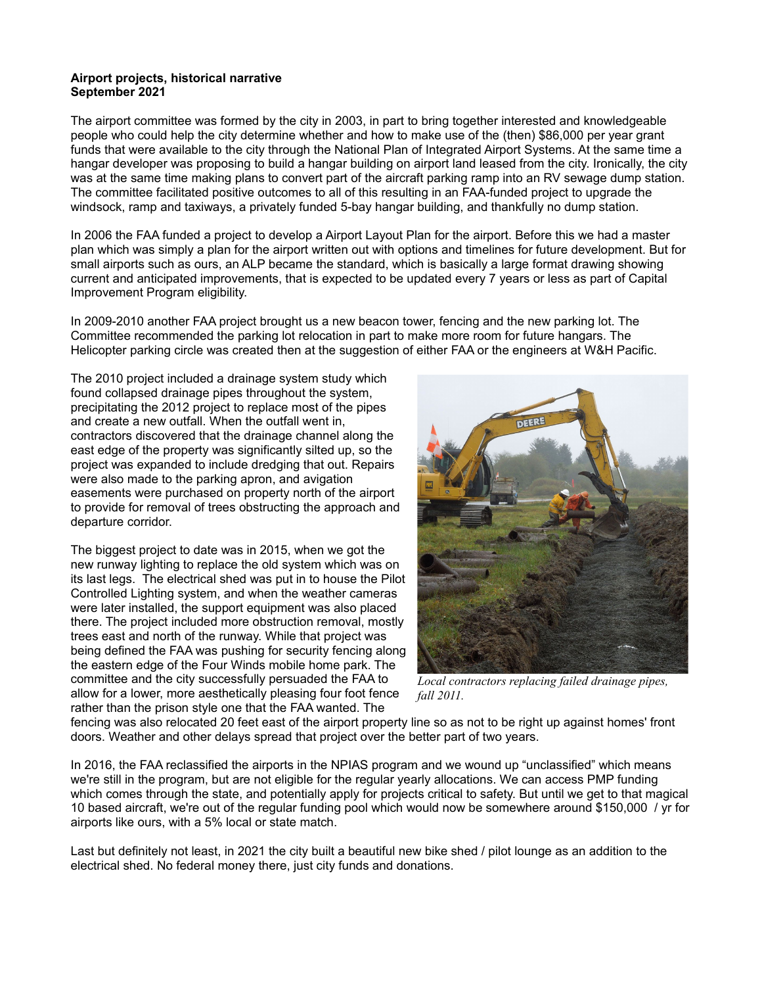## **Airport projects, historical narrative September 2021**

The airport committee was formed by the city in 2003, in part to bring together interested and knowledgeable people who could help the city determine whether and how to make use of the (then) \$86,000 per year grant funds that were available to the city through the National Plan of Integrated Airport Systems. At the same time a hangar developer was proposing to build a hangar building on airport land leased from the city. Ironically, the city was at the same time making plans to convert part of the aircraft parking ramp into an RV sewage dump station. The committee facilitated positive outcomes to all of this resulting in an FAA-funded project to upgrade the windsock, ramp and taxiways, a privately funded 5-bay hangar building, and thankfully no dump station.

In 2006 the FAA funded a project to develop a Airport Layout Plan for the airport. Before this we had a master plan which was simply a plan for the airport written out with options and timelines for future development. But for small airports such as ours, an ALP became the standard, which is basically a large format drawing showing current and anticipated improvements, that is expected to be updated every 7 years or less as part of Capital Improvement Program eligibility.

In 2009-2010 another FAA project brought us a new beacon tower, fencing and the new parking lot. The Committee recommended the parking lot relocation in part to make more room for future hangars. The Helicopter parking circle was created then at the suggestion of either FAA or the engineers at W&H Pacific.

The 2010 project included a drainage system study which found collapsed drainage pipes throughout the system, precipitating the 2012 project to replace most of the pipes and create a new outfall. When the outfall went in, contractors discovered that the drainage channel along the east edge of the property was significantly silted up, so the project was expanded to include dredging that out. Repairs were also made to the parking apron, and avigation easements were purchased on property north of the airport to provide for removal of trees obstructing the approach and departure corridor.

The biggest project to date was in 2015, when we got the new runway lighting to replace the old system which was on its last legs. The electrical shed was put in to house the Pilot Controlled Lighting system, and when the weather cameras were later installed, the support equipment was also placed there. The project included more obstruction removal, mostly trees east and north of the runway. While that project was being defined the FAA was pushing for security fencing along the eastern edge of the Four Winds mobile home park. The committee and the city successfully persuaded the FAA to allow for a lower, more aesthetically pleasing four foot fence rather than the prison style one that the FAA wanted. The



*Local contractors replacing failed drainage pipes, fall 2011.*

fencing was also relocated 20 feet east of the airport property line so as not to be right up against homes' front doors. Weather and other delays spread that project over the better part of two years.

In 2016, the FAA reclassified the airports in the NPIAS program and we wound up "unclassified" which means we're still in the program, but are not eligible for the regular yearly allocations. We can access PMP funding which comes through the state, and potentially apply for projects critical to safety. But until we get to that magical 10 based aircraft, we're out of the regular funding pool which would now be somewhere around \$150,000 / yr for airports like ours, with a 5% local or state match.

Last but definitely not least, in 2021 the city built a beautiful new bike shed / pilot lounge as an addition to the electrical shed. No federal money there, just city funds and donations.